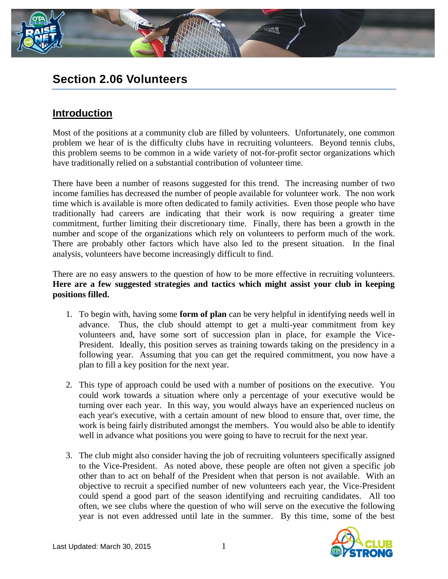

# **Section 2.06 Volunteers**

## **Introduction**

Most of the positions at a community club are filled by volunteers. Unfortunately, one common problem we hear of is the difficulty clubs have in recruiting volunteers. Beyond tennis clubs, this problem seems to be common in a wide variety of not-for-profit sector organizations which have traditionally relied on a substantial contribution of volunteer time.

There have been a number of reasons suggested for this trend. The increasing number of two income families has decreased the number of people available for volunteer work. The non work time which is available is more often dedicated to family activities. Even those people who have traditionally had careers are indicating that their work is now requiring a greater time commitment, further limiting their discretionary time. Finally, there has been a growth in the number and scope of the organizations which rely on volunteers to perform much of the work. There are probably other factors which have also led to the present situation. In the final analysis, volunteers have become increasingly difficult to find.

There are no easy answers to the question of how to be more effective in recruiting volunteers. **Here are a few suggested strategies and tactics which might assist your club in keeping positions filled.**

- 1. To begin with, having some **form of plan** can be very helpful in identifying needs well in advance. Thus, the club should attempt to get a multi-year commitment from key volunteers and, have some sort of succession plan in place, for example the Vice-President. Ideally, this position serves as training towards taking on the presidency in a following year. Assuming that you can get the required commitment, you now have a plan to fill a key position for the next year.
- 2. This type of approach could be used with a number of positions on the executive. You could work towards a situation where only a percentage of your executive would be turning over each year. In this way, you would always have an experienced nucleus on each year's executive, with a certain amount of new blood to ensure that, over time, the work is being fairly distributed amongst the members. You would also be able to identify well in advance what positions you were going to have to recruit for the next year.
- 3. The club might also consider having the job of recruiting volunteers specifically assigned to the Vice-President. As noted above, these people are often not given a specific job other than to act on behalf of the President when that person is not available. With an objective to recruit a specified number of new volunteers each year, the Vice-President could spend a good part of the season identifying and recruiting candidates. All too often, we see clubs where the question of who will serve on the executive the following year is not even addressed until late in the summer. By this time, some of the best

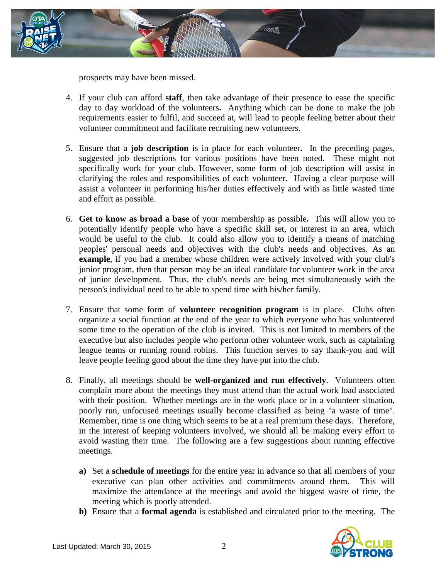

prospects may have been missed.

- 4. If your club can afford **staff**, then take advantage of their presence to ease the specific day to day workload of the volunteers**.** Anything which can be done to make the job requirements easier to fulfil, and succeed at, will lead to people feeling better about their volunteer commitment and facilitate recruiting new volunteers.
- 5. Ensure that a **job description** is in place for each volunteer**.** In the preceding pages, suggested job descriptions for various positions have been noted. These might not specifically work for your club. However, some form of job description will assist in clarifying the roles and responsibilities of each volunteer. Having a clear purpose will assist a volunteer in performing his/her duties effectively and with as little wasted time and effort as possible.
- 6. **Get to know as broad a base** of your membership as possible**.** This will allow you to potentially identify people who have a specific skill set, or interest in an area, which would be useful to the club. It could also allow you to identify a means of matching peoples' personal needs and objectives with the club's needs and objectives. As an **example**, if you had a member whose children were actively involved with your club's junior program, then that person may be an ideal candidate for volunteer work in the area of junior development. Thus, the club's needs are being met simultaneously with the person's individual need to be able to spend time with his/her family.
- 7. Ensure that some form of **volunteer recognition program** is in place. Clubs often organize a social function at the end of the year to which everyone who has volunteered some time to the operation of the club is invited. This is not limited to members of the executive but also includes people who perform other volunteer work, such as captaining league teams or running round robins. This function serves to say thank-you and will leave people feeling good about the time they have put into the club.
- 8. Finally, all meetings should be **well-organized and run effectively**. Volunteers often complain more about the meetings they must attend than the actual work load associated with their position. Whether meetings are in the work place or in a volunteer situation, poorly run, unfocused meetings usually become classified as being "a waste of time". Remember, time is one thing which seems to be at a real premium these days. Therefore, in the interest of keeping volunteers involved, we should all be making every effort to avoid wasting their time. The following are a few suggestions about running effective meetings.
	- **a)** Set a **schedule of meetings** for the entire year in advance so that all members of your executive can plan other activities and commitments around them. This will maximize the attendance at the meetings and avoid the biggest waste of time, the meeting which is poorly attended.
	- **b)** Ensure that a **formal agenda** is established and circulated prior to the meeting. The

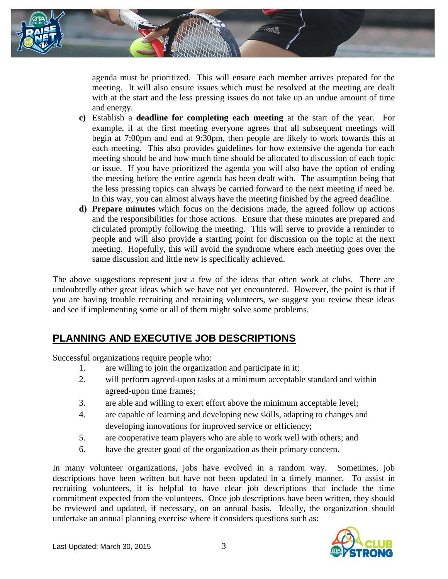

agenda must be prioritized. This will ensure each member arrives prepared for the meeting. It will also ensure issues which must be resolved at the meeting are dealt with at the start and the less pressing issues do not take up an undue amount of time and energy.

- **c)** Establish a **deadline for completing each meeting** at the start of the year. For example, if at the first meeting everyone agrees that all subsequent meetings will begin at 7:00pm and end at 9:30pm, then people are likely to work towards this at each meeting. This also provides guidelines for how extensive the agenda for each meeting should be and how much time should be allocated to discussion of each topic or issue. If you have prioritized the agenda you will also have the option of ending the meeting before the entire agenda has been dealt with. The assumption being that the less pressing topics can always be carried forward to the next meeting if need be. In this way, you can almost always have the meeting finished by the agreed deadline.
- **d) Prepare minutes** which focus on the decisions made, the agreed follow up actions and the responsibilities for those actions. Ensure that these minutes are prepared and circulated promptly following the meeting. This will serve to provide a reminder to people and will also provide a starting point for discussion on the topic at the next meeting. Hopefully, this will avoid the syndrome where each meeting goes over the same discussion and little new is specifically achieved.

The above suggestions represent just a few of the ideas that often work at clubs. There are undoubtedly other great ideas which we have not yet encountered. However, the point is that if you are having trouble recruiting and retaining volunteers, we suggest you review these ideas and see if implementing some or all of them might solve some problems.

## **PLANNING AND EXECUTIVE JOB DESCRIPTIONS**

Successful organizations require people who:

- 1. are willing to join the organization and participate in it;
- 2. will perform agreed-upon tasks at a minimum acceptable standard and within agreed-upon time frames;
- 3. are able and willing to exert effort above the minimum acceptable level;
- 4. are capable of learning and developing new skills, adapting to changes and developing innovations for improved service or efficiency;
- 5. are cooperative team players who are able to work well with others; and
- 6. have the greater good of the organization as their primary concern.

In many volunteer organizations, jobs have evolved in a random way. Sometimes, job descriptions have been written but have not been updated in a timely manner. To assist in recruiting volunteers, it is helpful to have clear job descriptions that include the time commitment expected from the volunteers. Once job descriptions have been written, they should be reviewed and updated, if necessary, on an annual basis. Ideally, the organization should undertake an annual planning exercise where it considers questions such as:

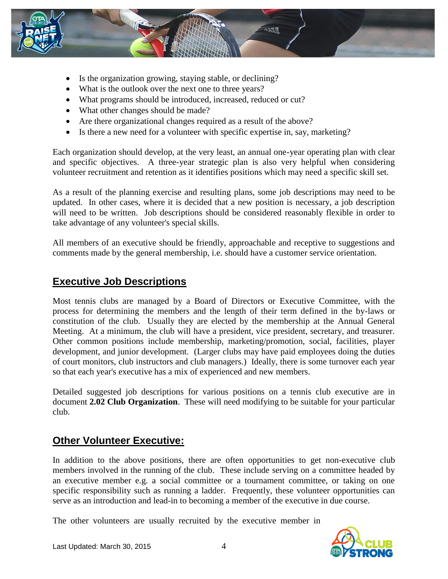

- Is the organization growing, staying stable, or declining?
- What is the outlook over the next one to three years?
- What programs should be introduced, increased, reduced or cut?
- What other changes should be made?
- Are there organizational changes required as a result of the above?
- Is there a new need for a volunteer with specific expertise in, say, marketing?

Each organization should develop, at the very least, an annual one-year operating plan with clear and specific objectives. A three-year strategic plan is also very helpful when considering volunteer recruitment and retention as it identifies positions which may need a specific skill set.

As a result of the planning exercise and resulting plans, some job descriptions may need to be updated. In other cases, where it is decided that a new position is necessary, a job description will need to be written. Job descriptions should be considered reasonably flexible in order to take advantage of any volunteer's special skills.

All members of an executive should be friendly, approachable and receptive to suggestions and comments made by the general membership, i.e. should have a customer service orientation.

#### **Executive Job Descriptions**

Most tennis clubs are managed by a Board of Directors or Executive Committee, with the process for determining the members and the length of their term defined in the by-laws or constitution of the club. Usually they are elected by the membership at the Annual General Meeting. At a minimum, the club will have a president, vice president, secretary, and treasurer. Other common positions include membership, marketing/promotion, social, facilities, player development, and junior development. (Larger clubs may have paid employees doing the duties of court monitors, club instructors and club managers.) Ideally, there is some turnover each year so that each year's executive has a mix of experienced and new members.

Detailed suggested job descriptions for various positions on a tennis club executive are in document **2.02 Club Organization**. These will need modifying to be suitable for your particular club.

#### **Other Volunteer Executive:**

In addition to the above positions, there are often opportunities to get non-executive club members involved in the running of the club. These include serving on a committee headed by an executive member e.g. a social committee or a tournament committee, or taking on one specific responsibility such as running a ladder. Frequently, these volunteer opportunities can serve as an introduction and lead-in to becoming a member of the executive in due course.

The other volunteers are usually recruited by the executive member in

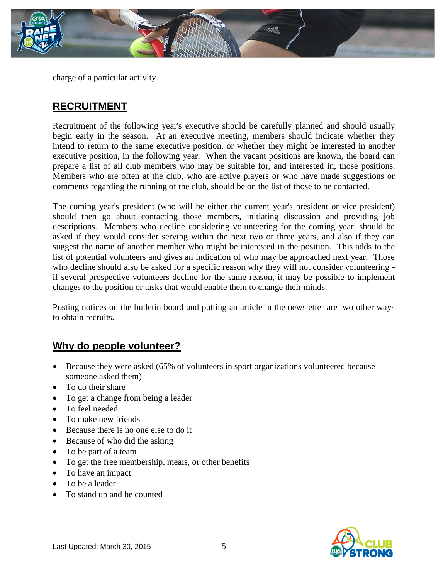

charge of a particular activity.

#### **RECRUITMENT**

Recruitment of the following year's executive should be carefully planned and should usually begin early in the season. At an executive meeting, members should indicate whether they intend to return to the same executive position, or whether they might be interested in another executive position, in the following year. When the vacant positions are known, the board can prepare a list of all club members who may be suitable for, and interested in, those positions. Members who are often at the club, who are active players or who have made suggestions or comments regarding the running of the club, should be on the list of those to be contacted.

The coming year's president (who will be either the current year's president or vice president) should then go about contacting those members, initiating discussion and providing job descriptions. Members who decline considering volunteering for the coming year, should be asked if they would consider serving within the next two or three years, and also if they can suggest the name of another member who might be interested in the position. This adds to the list of potential volunteers and gives an indication of who may be approached next year. Those who decline should also be asked for a specific reason why they will not consider volunteering if several prospective volunteers decline for the same reason, it may be possible to implement changes to the position or tasks that would enable them to change their minds.

Posting notices on the bulletin board and putting an article in the newsletter are two other ways to obtain recruits.

#### **Why do people volunteer?**

- Because they were asked (65% of volunteers in sport organizations volunteered because someone asked them)
- To do their share
- To get a change from being a leader
- To feel needed
- To make new friends
- Because there is no one else to do it
- Because of who did the asking
- To be part of a team
- To get the free membership, meals, or other benefits
- To have an impact
- To be a leader
- To stand up and be counted

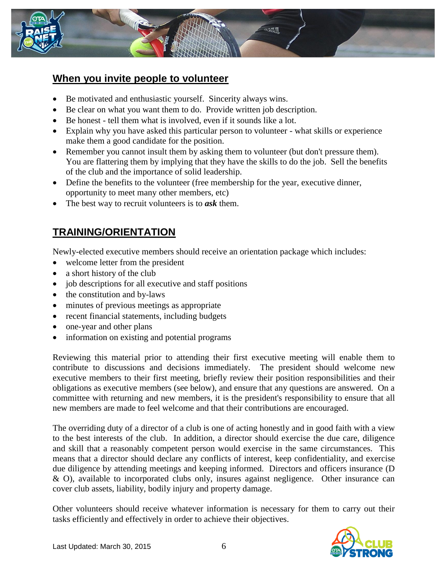

#### **When you invite people to volunteer**

- Be motivated and enthusiastic yourself. Sincerity always wins.
- Be clear on what you want them to do. Provide written job description.
- Be honest tell them what is involved, even if it sounds like a lot.
- Explain why you have asked this particular person to volunteer what skills or experience make them a good candidate for the position.
- Remember you cannot insult them by asking them to volunteer (but don't pressure them). You are flattering them by implying that they have the skills to do the job. Sell the benefits of the club and the importance of solid leadership.
- Define the benefits to the volunteer (free membership for the year, executive dinner, opportunity to meet many other members, etc)
- The best way to recruit volunteers is to *ask* them.

# **TRAINING/ORIENTATION**

Newly-elected executive members should receive an orientation package which includes:

- welcome letter from the president
- a short history of the club
- job descriptions for all executive and staff positions
- the constitution and by-laws
- minutes of previous meetings as appropriate
- recent financial statements, including budgets
- one-year and other plans
- information on existing and potential programs

Reviewing this material prior to attending their first executive meeting will enable them to contribute to discussions and decisions immediately. The president should welcome new executive members to their first meeting, briefly review their position responsibilities and their obligations as executive members (see below), and ensure that any questions are answered. On a committee with returning and new members, it is the president's responsibility to ensure that all new members are made to feel welcome and that their contributions are encouraged.

The overriding duty of a director of a club is one of acting honestly and in good faith with a view to the best interests of the club. In addition, a director should exercise the due care, diligence and skill that a reasonably competent person would exercise in the same circumstances. This means that a director should declare any conflicts of interest, keep confidentiality, and exercise due diligence by attending meetings and keeping informed. Directors and officers insurance (D & O), available to incorporated clubs only, insures against negligence. Other insurance can cover club assets, liability, bodily injury and property damage.

Other volunteers should receive whatever information is necessary for them to carry out their tasks efficiently and effectively in order to achieve their objectives.

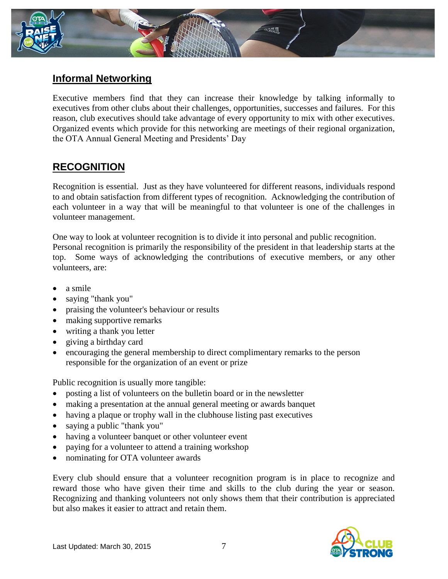

### **Informal Networking**

Executive members find that they can increase their knowledge by talking informally to executives from other clubs about their challenges, opportunities, successes and failures. For this reason, club executives should take advantage of every opportunity to mix with other executives. Organized events which provide for this networking are meetings of their regional organization, the OTA Annual General Meeting and Presidents' Day

## **RECOGNITION**

Recognition is essential. Just as they have volunteered for different reasons, individuals respond to and obtain satisfaction from different types of recognition. Acknowledging the contribution of each volunteer in a way that will be meaningful to that volunteer is one of the challenges in volunteer management.

One way to look at volunteer recognition is to divide it into personal and public recognition. Personal recognition is primarily the responsibility of the president in that leadership starts at the top. Some ways of acknowledging the contributions of executive members, or any other volunteers, are:

- a smile
- saying "thank you"
- praising the volunteer's behaviour or results
- making supportive remarks
- writing a thank you letter
- giving a birthday card
- encouraging the general membership to direct complimentary remarks to the person responsible for the organization of an event or prize

Public recognition is usually more tangible:

- posting a list of volunteers on the bulletin board or in the newsletter
- making a presentation at the annual general meeting or awards banquet
- having a plaque or trophy wall in the clubhouse listing past executives
- saying a public "thank you"
- having a volunteer banquet or other volunteer event
- paying for a volunteer to attend a training workshop
- nominating for OTA volunteer awards

Every club should ensure that a volunteer recognition program is in place to recognize and reward those who have given their time and skills to the club during the year or season. Recognizing and thanking volunteers not only shows them that their contribution is appreciated but also makes it easier to attract and retain them.

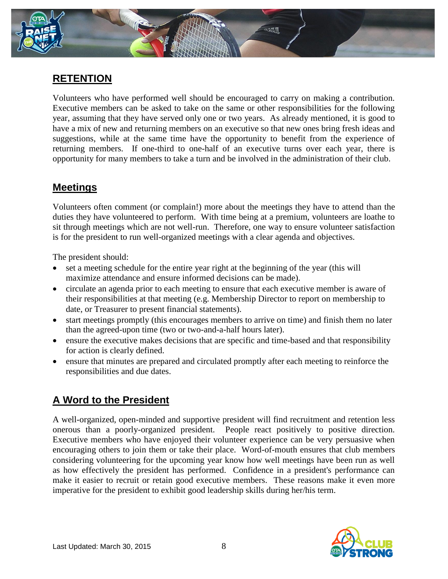

### **RETENTION**

Volunteers who have performed well should be encouraged to carry on making a contribution. Executive members can be asked to take on the same or other responsibilities for the following year, assuming that they have served only one or two years. As already mentioned, it is good to have a mix of new and returning members on an executive so that new ones bring fresh ideas and suggestions, while at the same time have the opportunity to benefit from the experience of returning members. If one-third to one-half of an executive turns over each year, there is opportunity for many members to take a turn and be involved in the administration of their club.

### **Meetings**

Volunteers often comment (or complain!) more about the meetings they have to attend than the duties they have volunteered to perform. With time being at a premium, volunteers are loathe to sit through meetings which are not well-run. Therefore, one way to ensure volunteer satisfaction is for the president to run well-organized meetings with a clear agenda and objectives.

The president should:

- set a meeting schedule for the entire year right at the beginning of the year (this will maximize attendance and ensure informed decisions can be made).
- circulate an agenda prior to each meeting to ensure that each executive member is aware of their responsibilities at that meeting (e.g. Membership Director to report on membership to date, or Treasurer to present financial statements).
- start meetings promptly (this encourages members to arrive on time) and finish them no later than the agreed-upon time (two or two-and-a-half hours later).
- ensure the executive makes decisions that are specific and time-based and that responsibility for action is clearly defined.
- ensure that minutes are prepared and circulated promptly after each meeting to reinforce the responsibilities and due dates.

# **A Word to the President**

A well-organized, open-minded and supportive president will find recruitment and retention less onerous than a poorly-organized president. People react positively to positive direction. Executive members who have enjoyed their volunteer experience can be very persuasive when encouraging others to join them or take their place. Word-of-mouth ensures that club members considering volunteering for the upcoming year know how well meetings have been run as well as how effectively the president has performed. Confidence in a president's performance can make it easier to recruit or retain good executive members. These reasons make it even more imperative for the president to exhibit good leadership skills during her/his term.

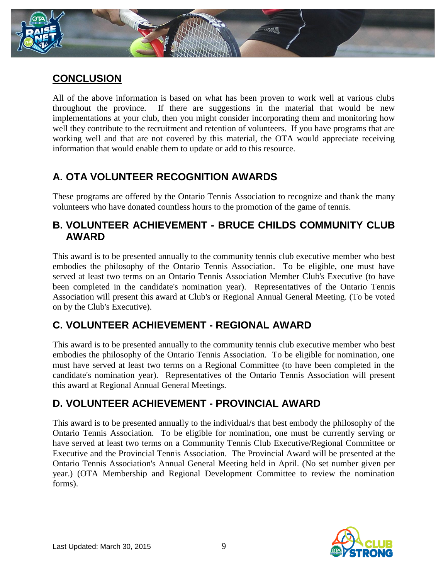

### **CONCLUSION**

All of the above information is based on what has been proven to work well at various clubs throughout the province. If there are suggestions in the material that would be new implementations at your club, then you might consider incorporating them and monitoring how well they contribute to the recruitment and retention of volunteers. If you have programs that are working well and that are not covered by this material, the OTA would appreciate receiving information that would enable them to update or add to this resource.

# **A. OTA VOLUNTEER RECOGNITION AWARDS**

These programs are offered by the Ontario Tennis Association to recognize and thank the many volunteers who have donated countless hours to the promotion of the game of tennis.

#### **B. VOLUNTEER ACHIEVEMENT - BRUCE CHILDS COMMUNITY CLUB AWARD**

This award is to be presented annually to the community tennis club executive member who best embodies the philosophy of the Ontario Tennis Association. To be eligible, one must have served at least two terms on an Ontario Tennis Association Member Club's Executive (to have been completed in the candidate's nomination year). Representatives of the Ontario Tennis Association will present this award at Club's or Regional Annual General Meeting. (To be voted on by the Club's Executive).

## **C. VOLUNTEER ACHIEVEMENT - REGIONAL AWARD**

This award is to be presented annually to the community tennis club executive member who best embodies the philosophy of the Ontario Tennis Association. To be eligible for nomination, one must have served at least two terms on a Regional Committee (to have been completed in the candidate's nomination year). Representatives of the Ontario Tennis Association will present this award at Regional Annual General Meetings.

# **D. VOLUNTEER ACHIEVEMENT - PROVINCIAL AWARD**

This award is to be presented annually to the individual/s that best embody the philosophy of the Ontario Tennis Association. To be eligible for nomination, one must be currently serving or have served at least two terms on a Community Tennis Club Executive/Regional Committee or Executive and the Provincial Tennis Association. The Provincial Award will be presented at the Ontario Tennis Association's Annual General Meeting held in April. (No set number given per year.) (OTA Membership and Regional Development Committee to review the nomination forms).